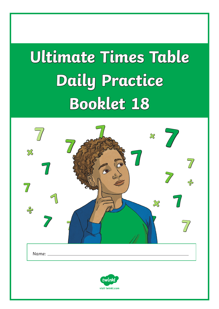# **Ultimate Times Table Daily Practice Booklet 18**

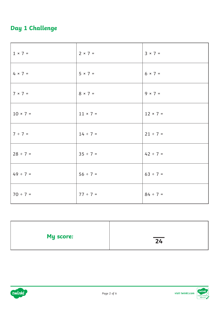## **Day 1 Challenge**

| $1 × 7 =$       | $2 × 7 =$       | $3 \times 7 =$  |
|-----------------|-----------------|-----------------|
| $4 × 7 =$       | $5 × 7 =$       | $6 \times 7 =$  |
| $7 × 7 =$       | $8 \times 7 =$  | $9 \times 7 =$  |
| $10 \times 7 =$ | $11 \times 7 =$ | $12 \times 7 =$ |
| $7 ÷ 7 =$       | $14 \div 7 =$   | $21 ÷ 7 =$      |
| $28 \div 7 =$   | $35 ÷ 7 =$      | $42 \div 7 =$   |
| $49 \div 7 =$   | $56 ÷ 7 =$      | $63 ÷ 7 =$      |
| $70 ÷ 7 =$      | $77 ÷ 7 =$      | $84 ÷ 7 =$      |

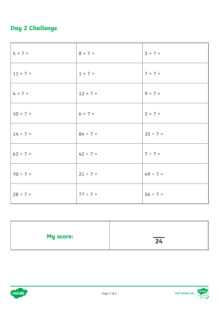## **Day 2 Challenge**

| $5 × 7 =$       | $8 \times 7 =$  | $3 × 7 =$      |
|-----------------|-----------------|----------------|
| $11 \times 7 =$ | $1 × 7 =$       | $7 × 7 =$      |
| $4 × 7 =$       | $12 \times 7 =$ | $9 \times 7 =$ |
| $10 \times 7 =$ | $6 \times 7 =$  | $2 × 7 =$      |
| $14 \div 7 =$   | $84 \div 7 =$   | $35 ÷ 7 =$     |
| $63 ÷ 7 =$      | $42 \div 7 =$   | $7 ÷ 7 =$      |
| $70 \div 7 =$   | $21 ÷ 7 =$      | $49 \div 7 =$  |
| $28 ÷ 7 =$      | $77 ÷ 7 =$      | $56 ÷ 7 =$     |



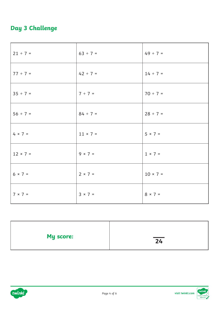## **Day 3 Challenge**

| $21 ÷ 7 =$      | $63 ÷ 7 =$      | $49 \div 7 =$   |
|-----------------|-----------------|-----------------|
| $77 ÷ 7 =$      | $42 \div 7 =$   | $14 \div 7 =$   |
| $35 ÷ 7 =$      | $7 ÷ 7 =$       | $70 ÷ 7 =$      |
| $56 ÷ 7 =$      | $84 \div 7 =$   | $28 ÷ 7 =$      |
| $4 × 7 =$       | $11 \times 7 =$ | $5 × 7 =$       |
| $12 \times 7 =$ | $9 \times 7 =$  | $1 × 7 =$       |
| $6 × 7 =$       | $2 × 7 =$       | $10 \times 7 =$ |
| $7 \times 7 =$  | $3 × 7 =$       | $8 × 7 =$       |

| My score: | $\overline{24}$ |
|-----------|-----------------|
|           |                 |



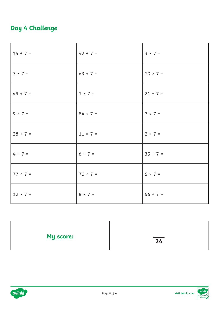### **Day 4 Challenge**

| $14 \div 7 =$   | $42 \div 7 =$   | $3 × 7 =$  |
|-----------------|-----------------|------------|
| $7 × 7 =$       | $63 ÷ 7 =$      | $10 × 7 =$ |
| $49 \div 7 =$   | $1 × 7 =$       | $21 ÷ 7 =$ |
| $9 × 7 =$       | $84 \div 7 =$   | $7 ÷ 7 =$  |
| $28 \div 7 =$   | $11 \times 7 =$ | $2 × 7 =$  |
| $4 × 7 =$       | $6 \times 7 =$  | $35 ÷ 7 =$ |
| $77 ÷ 7 =$      | $70 \div 7 =$   | $5 × 7 =$  |
| $12 \times 7 =$ | $8 \times 7 =$  | $56 ÷ 7 =$ |

| My score: | $\overline{24}$ |
|-----------|-----------------|
|           |                 |